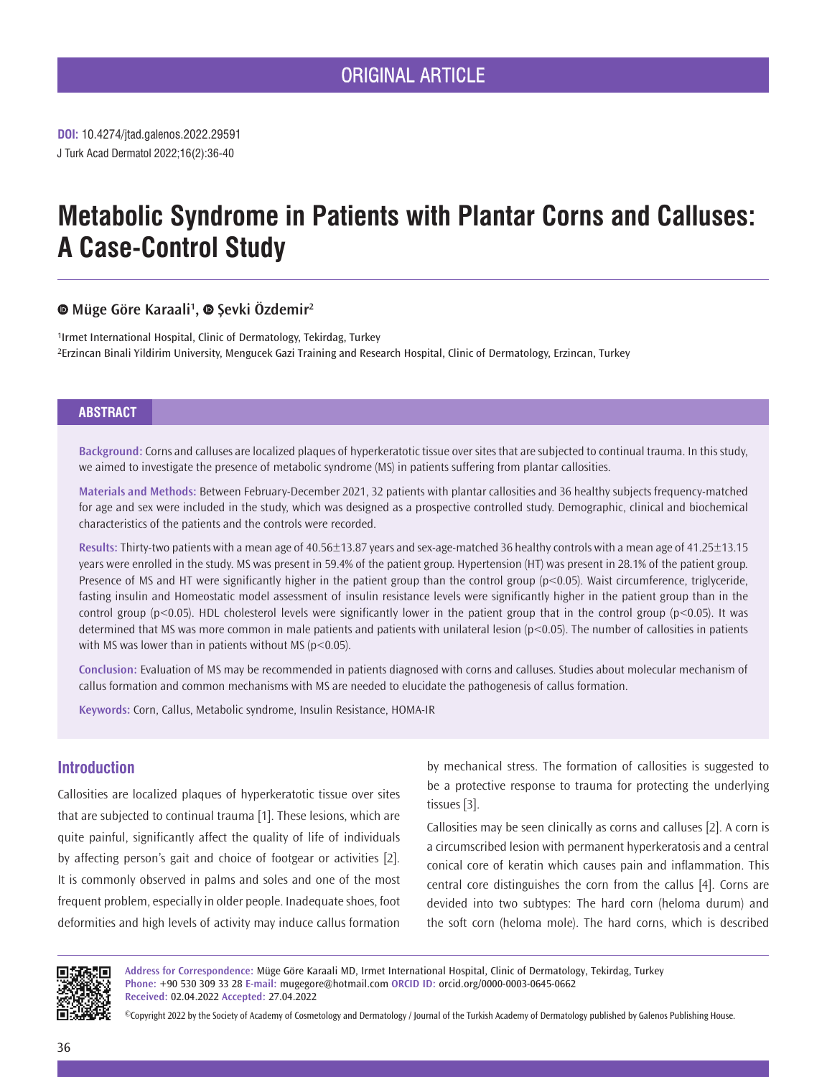J Turk Acad Dermatol 2022;16(2):36-40 **DOI:** 10.4274/jtad.galenos.2022.29591

# **Metabolic Syndrome in Patients with Plantar Corns and Calluses: A Case-Control Study**

# **Müge Göre Karaali1 ,Şevki Özdemir<sup>2</sup>**

1Irmet International Hospital, Clinic of Dermatology, Tekirdag, Turkey 2Erzincan Binali Yildirim University, Mengucek Gazi Training and Research Hospital, Clinic of Dermatology, Erzincan, Turkey

## **ABSTRACT**

**Background:** Corns and calluses are localized plaques of hyperkeratotic tissue over sites that are subjected to continual trauma. In this study, we aimed to investigate the presence of metabolic syndrome (MS) in patients suffering from plantar callosities.

**Materials and Methods:** Between February-December 2021, 32 patients with plantar callosities and 36 healthy subjects frequency-matched for age and sex were included in the study, which was designed as a prospective controlled study. Demographic, clinical and biochemical characteristics of the patients and the controls were recorded.

**Results:** Thirty-two patients with a mean age of 40.56±13.87 years and sex-age-matched 36 healthy controls with a mean age of 41.25±13.15 years were enrolled in the study. MS was present in 59.4% of the patient group. Hypertension (HT) was present in 28.1% of the patient group. Presence of MS and HT were significantly higher in the patient group than the control group  $(p<0.05)$ . Waist circumference, triglyceride, fasting insulin and Homeostatic model assessment of insulin resistance levels were significantly higher in the patient group than in the control group (p<0.05). HDL cholesterol levels were significantly lower in the patient group that in the control group (p<0.05). It was determined that MS was more common in male patients and patients with unilateral lesion (p<0.05). The number of callosities in patients with MS was lower than in patients without MS ( $p$ <0.05).

**Conclusion:** Evaluation of MS may be recommended in patients diagnosed with corns and calluses. Studies about molecular mechanism of callus formation and common mechanisms with MS are needed to elucidate the pathogenesis of callus formation.

**Keywords:** Corn, Callus, Metabolic syndrome, Insulin Resistance, HOMA-IR

# **Introduction**

Callosities are localized plaques of hyperkeratotic tissue over sites that are subjected to continual trauma [1]. These lesions, which are quite painful, significantly affect the quality of life of individuals by affecting person's gait and choice of footgear or activities [2]. It is commonly observed in palms and soles and one of the most frequent problem, especially in older people. Inadequate shoes, foot deformities and high levels of activity may induce callus formation

by mechanical stress. The formation of callosities is suggested to be a protective response to trauma for protecting the underlying tissues [3].

Callosities may be seen clinically as corns and calluses [2]. A corn is a circumscribed lesion with permanent hyperkeratosis and a central conical core of keratin which causes pain and inflammation. This central core distinguishes the corn from the callus [4]. Corns are devided into two subtypes: The hard corn (heloma durum) and the soft corn (heloma mole). The hard corns, which is described



**Address for Correspondence:** Müge Göre Karaali MD, Irmet International Hospital, Clinic of Dermatology, Tekirdag, Turkey **Phone:** +90 530 309 33 28 **E-mail:** mugegore@hotmail.com **ORCID ID:** orcid.org/0000-0003-0645-0662 **Received:** 02.04.2022 **Accepted:** 27.04.2022

©Copyright 2022 by the Society of Academy of Cosmetology and Dermatology / Journal of the Turkish Academy of Dermatology published by Galenos Publishing House.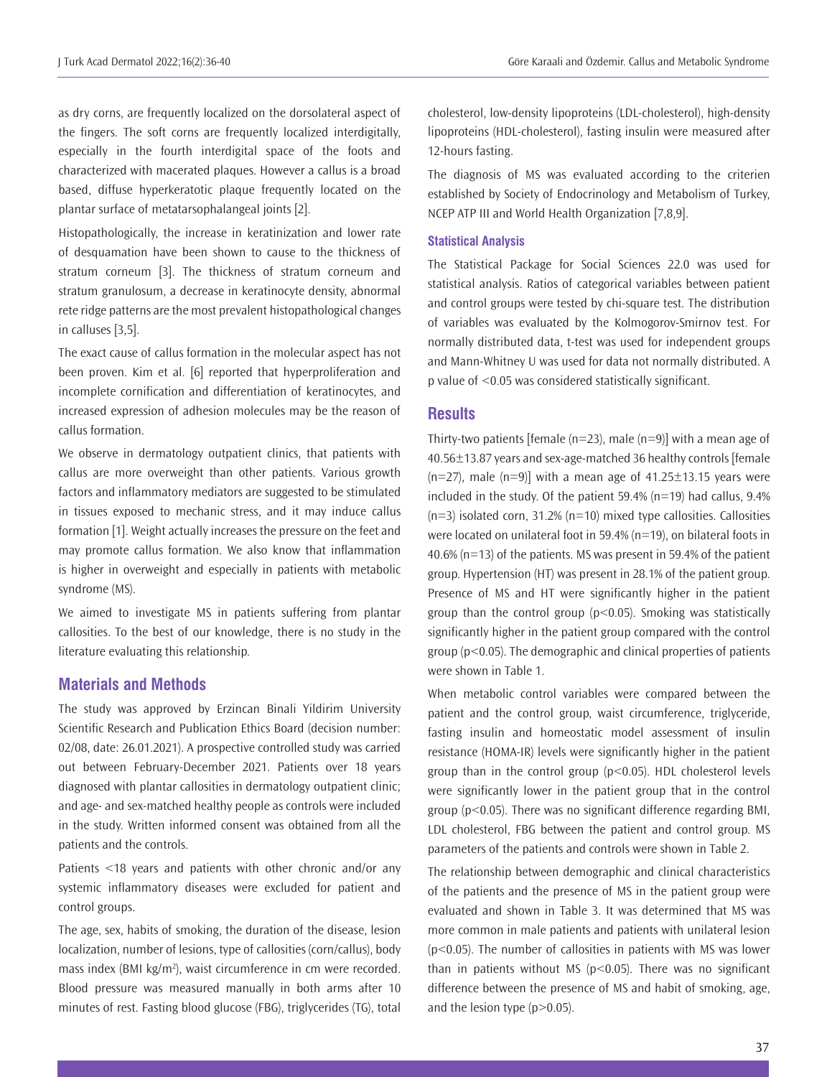as dry corns, are frequently localized on the dorsolateral aspect of the fingers. The soft corns are frequently localized interdigitally, especially in the fourth interdigital space of the foots and characterized with macerated plaques. However a callus is a broad based, diffuse hyperkeratotic plaque frequently located on the plantar surface of metatarsophalangeal joints [2].

Histopathologically, the increase in keratinization and lower rate of desquamation have been shown to cause to the thickness of stratum corneum [3]. The thickness of stratum corneum and stratum granulosum, a decrease in keratinocyte density, abnormal rete ridge patterns are the most prevalent histopathological changes in calluses [3,5].

The exact cause of callus formation in the molecular aspect has not been proven. Kim et al. [6] reported that hyperproliferation and incomplete cornification and differentiation of keratinocytes, and increased expression of adhesion molecules may be the reason of callus formation.

We observe in dermatology outpatient clinics, that patients with callus are more overweight than other patients. Various growth factors and inflammatory mediators are suggested to be stimulated in tissues exposed to mechanic stress, and it may induce callus formation [1]. Weight actually increases the pressure on the feet and may promote callus formation. We also know that inflammation is higher in overweight and especially in patients with metabolic syndrome (MS).

We aimed to investigate MS in patients suffering from plantar callosities. To the best of our knowledge, there is no study in the literature evaluating this relationship.

### **Materials and Methods**

The study was approved by Erzincan Binali Yildirim University Scientific Research and Publication Ethics Board (decision number: 02/08, date: 26.01.2021). A prospective controlled study was carried out between February-December 2021. Patients over 18 years diagnosed with plantar callosities in dermatology outpatient clinic; and age- and sex-matched healthy people as controls were included in the study. Written informed consent was obtained from all the patients and the controls.

Patients <18 years and patients with other chronic and/or any systemic inflammatory diseases were excluded for patient and control groups.

The age, sex, habits of smoking, the duration of the disease, lesion localization, number of lesions, type of callosities (corn/callus), body mass index (BMI kg/m<sup>2</sup>), waist circumference in cm were recorded. Blood pressure was measured manually in both arms after 10 minutes of rest. Fasting blood glucose (FBG), triglycerides (TG), total

cholesterol, low-density lipoproteins (LDL-cholesterol), high-density lipoproteins (HDL-cholesterol), fasting insulin were measured after 12-hours fasting.

The diagnosis of MS was evaluated according to the criterien established by Society of Endocrinology and Metabolism of Turkey, NCEP ATP III and World Health Organization [7,8,9].

#### **Statistical Analysis**

The Statistical Package for Social Sciences 22.0 was used for statistical analysis. Ratios of categorical variables between patient and control groups were tested by chi-square test. The distribution of variables was evaluated by the Kolmogorov-Smirnov test. For normally distributed data, t-test was used for independent groups and Mann-Whitney U was used for data not normally distributed. A p value of <0.05 was considered statistically significant.

## **Results**

Thirty-two patients [female ( $n=23$ ), male ( $n=9$ )] with a mean age of 40.56±13.87 years and sex-age-matched 36 healthy controls [female  $(n=27)$ , male  $(n=9)$ ] with a mean age of 41.25 $\pm$ 13.15 years were included in the study. Of the patient 59.4% (n=19) had callus, 9.4%  $(n=3)$  isolated corn, 31.2%  $(n=10)$  mixed type callosities. Callosities were located on unilateral foot in 59.4% (n=19), on bilateral foots in 40.6% (n=13) of the patients. MS was present in 59.4% of the patient group. Hypertension (HT) was present in 28.1% of the patient group. Presence of MS and HT were significantly higher in the patient group than the control group ( $p$ <0.05). Smoking was statistically significantly higher in the patient group compared with the control group (p<0.05). The demographic and clinical properties of patients were shown in Table 1.

When metabolic control variables were compared between the patient and the control group, waist circumference, triglyceride, fasting insulin and homeostatic model assessment of insulin resistance (HOMA-IR) levels were significantly higher in the patient group than in the control group (p<0.05). HDL cholesterol levels were significantly lower in the patient group that in the control group (p<0.05). There was no significant difference regarding BMI, LDL cholesterol, FBG between the patient and control group. MS parameters of the patients and controls were shown in Table 2.

The relationship between demographic and clinical characteristics of the patients and the presence of MS in the patient group were evaluated and shown in Table 3. It was determined that MS was more common in male patients and patients with unilateral lesion (p<0.05). The number of callosities in patients with MS was lower than in patients without MS ( $p$ <0.05). There was no significant difference between the presence of MS and habit of smoking, age, and the lesion type  $(p>0.05)$ .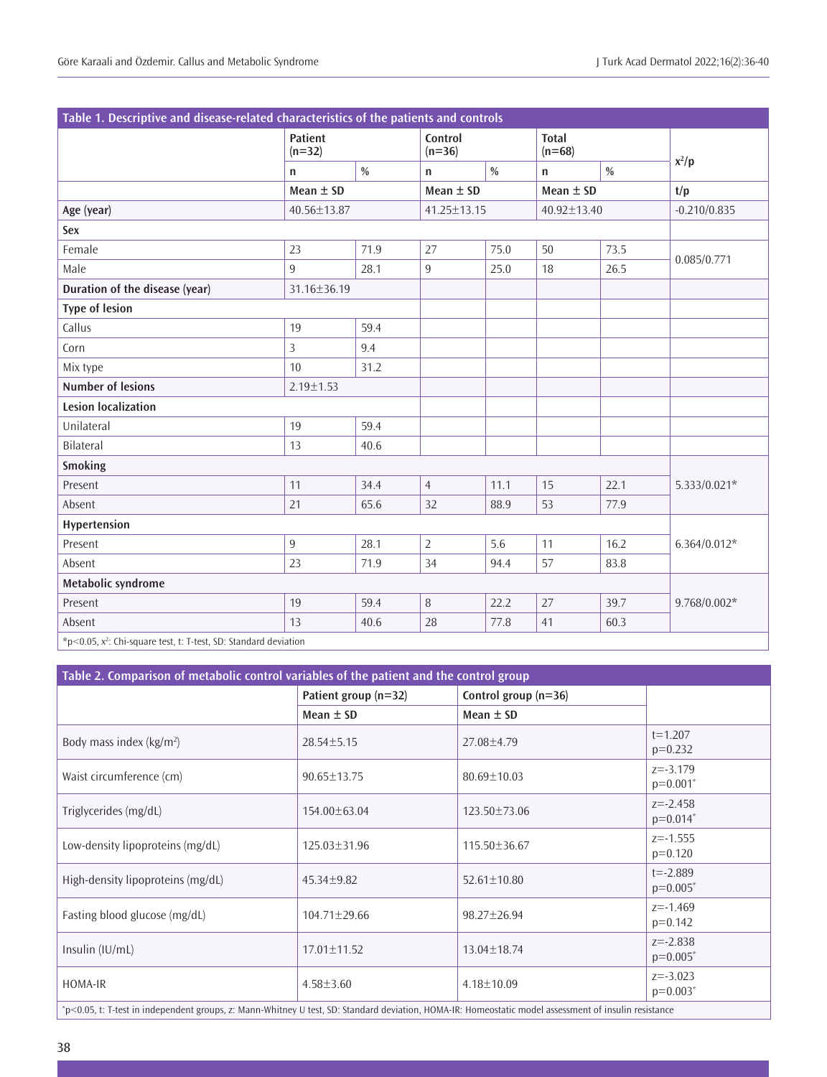| Table 1. Descriptive and disease-related characteristics of the patients and controls |                            |               |                     |               |                          |               |                |  |
|---------------------------------------------------------------------------------------|----------------------------|---------------|---------------------|---------------|--------------------------|---------------|----------------|--|
|                                                                                       | <b>Patient</b><br>$(n=32)$ |               | Control<br>$(n=36)$ |               | <b>Total</b><br>$(n=68)$ |               |                |  |
|                                                                                       | $\mathsf{n}$               | $\frac{0}{0}$ | n                   | $\frac{0}{0}$ | $\mathsf{n}$             | $\frac{0}{0}$ | $x^2/p$        |  |
|                                                                                       | Mean $\pm$ SD              |               | Mean $\pm$ SD       |               | Mean $\pm$ SD            |               | t/p            |  |
| Age (year)                                                                            | 40.56±13.87                |               | 41.25±13.15         |               | 40.92±13.40              |               | $-0.210/0.835$ |  |
| Sex                                                                                   |                            |               |                     |               |                          |               |                |  |
| Female                                                                                | 23                         | 71.9          | 27                  | 75.0          | 50                       | 73.5          | 0.085/0.771    |  |
| Male                                                                                  | 9                          | 28.1          | $\overline{9}$      | 25.0          | 18                       | 26.5          |                |  |
| Duration of the disease (year)                                                        | 31.16±36.19                |               |                     |               |                          |               |                |  |
| <b>Type of lesion</b>                                                                 |                            |               |                     |               |                          |               |                |  |
| Callus                                                                                | 19                         | 59.4          |                     |               |                          |               |                |  |
| Corn                                                                                  | 3                          | 9.4           |                     |               |                          |               |                |  |
| Mix type                                                                              | 10                         | 31.2          |                     |               |                          |               |                |  |
| <b>Number of lesions</b>                                                              | $2.19 \pm 1.53$            |               |                     |               |                          |               |                |  |
| <b>Lesion localization</b>                                                            |                            |               |                     |               |                          |               |                |  |
| Unilateral                                                                            | 19                         | 59.4          |                     |               |                          |               |                |  |
| Bilateral                                                                             | 13                         | 40.6          |                     |               |                          |               |                |  |
| Smoking                                                                               |                            |               |                     |               |                          |               |                |  |
| Present                                                                               | 11                         | 34.4          | $\overline{4}$      | 11.1          | 15                       | 22.1          | 5.333/0.021*   |  |
| Absent                                                                                | 21                         | 65.6          | 32                  | 88.9          | 53                       | 77.9          |                |  |
| Hypertension                                                                          |                            |               |                     |               |                          |               |                |  |
| Present                                                                               | 9                          | 28.1          | $\overline{2}$      | 5.6           | 11                       | 16.2          | $6.364/0.012*$ |  |
| Absent                                                                                | 23                         | 71.9          | 34                  | 94.4          | 57                       | 83.8          |                |  |
| Metabolic syndrome                                                                    |                            |               |                     |               |                          |               |                |  |
| Present                                                                               | 19                         | 59.4          | $\, 8$              | 22.2          | 27                       | 39.7          | $9.768/0.002*$ |  |
| Absent                                                                                | 13                         | 40.6          | 28                  | 77.8          | 41                       | 60.3          |                |  |
| $*$ p<0.05, $x^2$ : Chi-square test, t: T-test, SD: Standard deviation                |                            |               |                     |               |                          |               |                |  |

| Table 2. Comparison of metabolic control variables of the patient and the control group                                                               |                      |                        |                             |  |  |  |  |
|-------------------------------------------------------------------------------------------------------------------------------------------------------|----------------------|------------------------|-----------------------------|--|--|--|--|
|                                                                                                                                                       | Patient group (n=32) | Control group $(n=36)$ |                             |  |  |  |  |
|                                                                                                                                                       | Mean $\pm$ SD        | Mean $\pm$ SD          |                             |  |  |  |  |
| Body mass index (kg/m <sup>2</sup> )                                                                                                                  | $28.54 \pm 5.15$     | $27.08 + 4.79$         | $t = 1.207$<br>$p=0.232$    |  |  |  |  |
| Waist circumference (cm)                                                                                                                              | 90.65±13.75          | $80.69 \pm 10.03$      | $z = -3.179$<br>$p=0.001*$  |  |  |  |  |
| Triglycerides (mg/dL)                                                                                                                                 | 154.00 ± 63.04       | $123.50 + 73.06$       | $z = -2.458$<br>$p=0.014*$  |  |  |  |  |
| Low-density lipoproteins (mg/dL)                                                                                                                      | 125.03±31.96         | 115.50±36.67           | $z = -1.555$<br>$p=0.120$   |  |  |  |  |
| High-density lipoproteins (mg/dL)                                                                                                                     | $45.34 + 9.82$       | $52.61 \pm 10.80$      | $t = -2.889$<br>$p=0.005^*$ |  |  |  |  |
| Fasting blood glucose (mg/dL)                                                                                                                         | $104.71 \pm 29.66$   | $98.27 + 26.94$        | $z = -1.469$<br>$p=0.142$   |  |  |  |  |
| Insulin $(IU/mL)$                                                                                                                                     | 17.01±11.52          | 13.04±18.74            | $z = -2.838$<br>$p=0.005^*$ |  |  |  |  |
| HOMA-IR                                                                                                                                               | $4.58 \pm 3.60$      | $4.18 \pm 10.09$       | $z = -3.023$<br>$p=0.003*$  |  |  |  |  |
| *p<0.05, t: T-test in independent groups, z: Mann-Whitney U test, SD: Standard deviation, HOMA-IR: Homeostatic model assessment of insulin resistance |                      |                        |                             |  |  |  |  |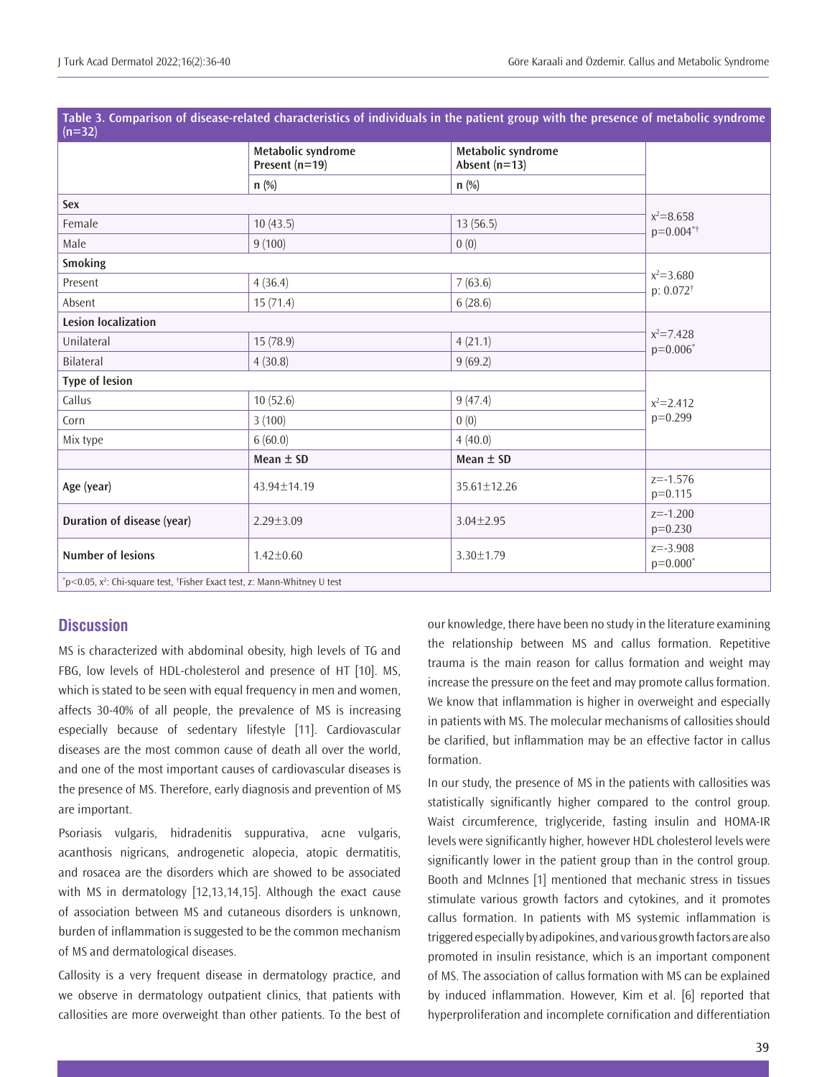| $(n=32)$                                                                             |                                        |                                       |                                       |  |  |
|--------------------------------------------------------------------------------------|----------------------------------------|---------------------------------------|---------------------------------------|--|--|
|                                                                                      | Metabolic syndrome<br>Present $(n=19)$ | Metabolic syndrome<br>Absent $(n=13)$ |                                       |  |  |
|                                                                                      | $n$ (%)                                | n(%)                                  |                                       |  |  |
| Sex                                                                                  |                                        |                                       |                                       |  |  |
| Female                                                                               | 10(43.5)                               | $x^2 = 8.658$<br>$p=0.004**$          |                                       |  |  |
| Male                                                                                 | 9(100)                                 | 0(0)                                  |                                       |  |  |
| Smoking                                                                              |                                        |                                       |                                       |  |  |
| Present                                                                              | 4(36.4)                                | 7(63.6)                               | $x^2 = 3.680$<br>$p: 0.072^{\dagger}$ |  |  |
| Absent                                                                               | 15(71.4)                               | 6(28.6)                               |                                       |  |  |
| <b>Lesion localization</b>                                                           |                                        |                                       |                                       |  |  |
| Unilateral                                                                           | 15(78.9)                               | 4(21.1)                               | $x^2 = 7.428$<br>$p=0.006*$           |  |  |
| Bilateral                                                                            | 4(30.8)                                | 9(69.2)                               |                                       |  |  |
| <b>Type of lesion</b>                                                                |                                        |                                       |                                       |  |  |
| Callus                                                                               | 10(52.6)                               | 9(47.4)                               | $x^2 = 2.412$                         |  |  |
| Corn                                                                                 | 3(100)                                 | 0(0)                                  | $p=0.299$                             |  |  |
| Mix type                                                                             | 6(60.0)                                | 4(40.0)                               |                                       |  |  |
|                                                                                      | Mean $\pm$ SD                          | Mean $\pm$ SD                         |                                       |  |  |
| Age (year)                                                                           | 43.94±14.19                            | 35.61±12.26                           | $z = -1.576$<br>$p=0.115$             |  |  |
| Duration of disease (year)                                                           | $2.29 \pm 3.09$                        | $3.04 \pm 2.95$                       | $z = -1.200$<br>$p=0.230$             |  |  |
| <b>Number of lesions</b><br>$1.42 \pm 0.60$                                          |                                        | 3.30±1.79                             | $z = -3.908$<br>$p=0.000*$            |  |  |
| التناول والمستحدث والمتحدث والمتحدث والمستحدث والمتحدث والمتحدث والمتحاولة والمستحدث |                                        |                                       |                                       |  |  |

**Table 3. Comparison of disease-related characteristics of individuals in the patient group with the presence of metabolic syndrome** 

\*p<0.05, x²: Chi-square test, †Fisher Exact test, z: Mann-Whitney U test

## **Discussion**

MS is characterized with abdominal obesity, high levels of TG and FBG, low levels of HDL-cholesterol and presence of HT [10]. MS, which is stated to be seen with equal frequency in men and women, affects 30-40% of all people, the prevalence of MS is increasing especially because of sedentary lifestyle [11]. Cardiovascular diseases are the most common cause of death all over the world, and one of the most important causes of cardiovascular diseases is the presence of MS. Therefore, early diagnosis and prevention of MS are important.

Psoriasis vulgaris, hidradenitis suppurativa, acne vulgaris, acanthosis nigricans, androgenetic alopecia, atopic dermatitis, and rosacea are the disorders which are showed to be associated with MS in dermatology [12,13,14,15]. Although the exact cause of association between MS and cutaneous disorders is unknown, burden of inflammation is suggested to be the common mechanism of MS and dermatological diseases.

Callosity is a very frequent disease in dermatology practice, and we observe in dermatology outpatient clinics, that patients with callosities are more overweight than other patients. To the best of our knowledge, there have been no study in the literature examining the relationship between MS and callus formation. Repetitive trauma is the main reason for callus formation and weight may increase the pressure on the feet and may promote callus formation. We know that inflammation is higher in overweight and especially in patients with MS. The molecular mechanisms of callosities should be clarified, but inflammation may be an effective factor in callus formation.

In our study, the presence of MS in the patients with callosities was statistically significantly higher compared to the control group. Waist circumference, triglyceride, fasting insulin and HOMA-IR levels were significantly higher, however HDL cholesterol levels were significantly lower in the patient group than in the control group. Booth and Mclnnes [1] mentioned that mechanic stress in tissues stimulate various growth factors and cytokines, and it promotes callus formation. In patients with MS systemic inflammation is triggered especially by adipokines, and various growth factors are also promoted in insulin resistance, which is an important component of MS. The association of callus formation with MS can be explained by induced inflammation. However, Kim et al. [6] reported that hyperproliferation and incomplete cornification and differentiation